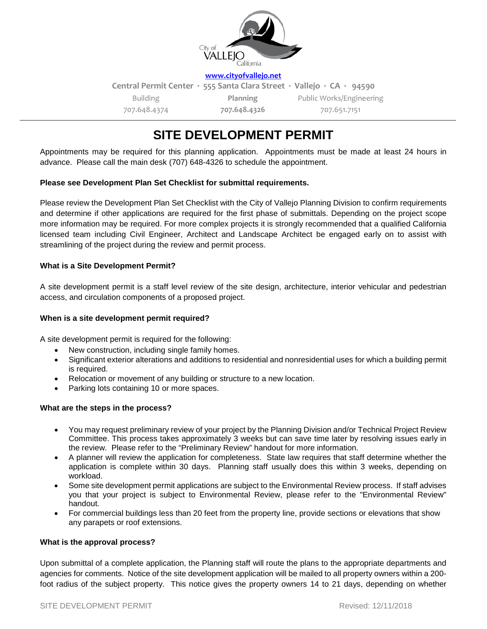

**[www.cityofvallejo.net](http://www.cityofvallejo.net/)**

**Central Permit Center ∙ 555 Santa Clara Street ∙ Vallejo ∙ CA ∙ 94590** Building 707.648.4374 **Planning 707.648.4326** Public Works/Engineering 707.651.7151

# **SITE DEVELOPMENT PERMIT**

Appointments may be required for this planning application. Appointments must be made at least 24 hours in advance. Please call the main desk (707) 648-4326 to schedule the appointment.

# **Please see Development Plan Set Checklist for submittal requirements.**

Please review the Development Plan Set Checklist with the City of Vallejo Planning Division to confirm requirements and determine if other applications are required for the first phase of submittals. Depending on the project scope more information may be required. For more complex projects it is strongly recommended that a qualified California licensed team including Civil Engineer, Architect and Landscape Architect be engaged early on to assist with streamlining of the project during the review and permit process.

# **What is a Site Development Permit?**

A site development permit is a staff level review of the site design, architecture, interior vehicular and pedestrian access, and circulation components of a proposed project.

### **When is a site development permit required?**

A site development permit is required for the following:

- New construction, including single family homes.
- Significant exterior alterations and additions to residential and nonresidential uses for which a building permit is required.
- Relocation or movement of any building or structure to a new location.
- Parking lots containing 10 or more spaces.

# **What are the steps in the process?**

- You may request preliminary review of your project by the Planning Division and/or Technical Project Review Committee. This process takes approximately 3 weeks but can save time later by resolving issues early in the review. Please refer to the "Preliminary Review" handout for more information.
- A planner will review the application for completeness. State law requires that staff determine whether the application is complete within 30 days. Planning staff usually does this within 3 weeks, depending on workload.
- Some site development permit applications are subject to the Environmental Review process. If staff advises you that your project is subject to Environmental Review, please refer to the "Environmental Review" handout.
- For commercial buildings less than 20 feet from the property line, provide sections or elevations that show any parapets or roof extensions.

#### **What is the approval process?**

Upon submittal of a complete application, the Planning staff will route the plans to the appropriate departments and agencies for comments. Notice of the site development application will be mailed to all property owners within a 200 foot radius of the subject property. This notice gives the property owners 14 to 21 days, depending on whether